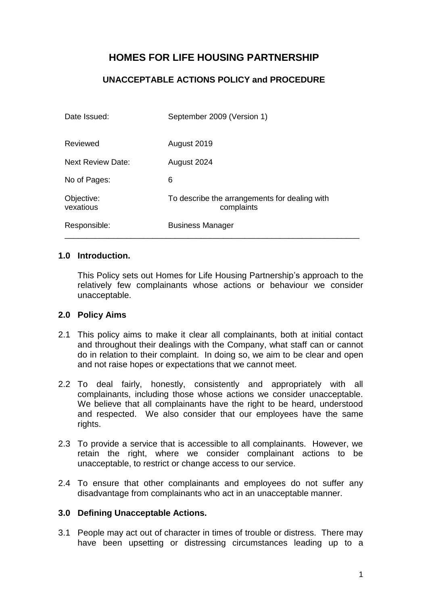# **HOMES FOR LIFE HOUSING PARTNERSHIP**

## **UNACCEPTABLE ACTIONS POLICY and PROCEDURE**

| Date Issued:             | September 2009 (Version 1)                                  |
|--------------------------|-------------------------------------------------------------|
| Reviewed                 | August 2019                                                 |
| <b>Next Review Date:</b> | August 2024                                                 |
| No of Pages:             | 6                                                           |
| Objective:<br>vexatious  | To describe the arrangements for dealing with<br>complaints |
| Responsible:             | <b>Business Manager</b>                                     |

### **1.0 Introduction.**

This Policy sets out Homes for Life Housing Partnership's approach to the relatively few complainants whose actions or behaviour we consider unacceptable.

#### **2.0 Policy Aims**

- 2.1 This policy aims to make it clear all complainants, both at initial contact and throughout their dealings with the Company, what staff can or cannot do in relation to their complaint. In doing so, we aim to be clear and open and not raise hopes or expectations that we cannot meet.
- 2.2 To deal fairly, honestly, consistently and appropriately with all complainants, including those whose actions we consider unacceptable. We believe that all complainants have the right to be heard, understood and respected. We also consider that our employees have the same rights.
- 2.3 To provide a service that is accessible to all complainants. However, we retain the right, where we consider complainant actions to be unacceptable, to restrict or change access to our service.
- 2.4 To ensure that other complainants and employees do not suffer any disadvantage from complainants who act in an unacceptable manner.

### **3.0 Defining Unacceptable Actions.**

3.1 People may act out of character in times of trouble or distress. There may have been upsetting or distressing circumstances leading up to a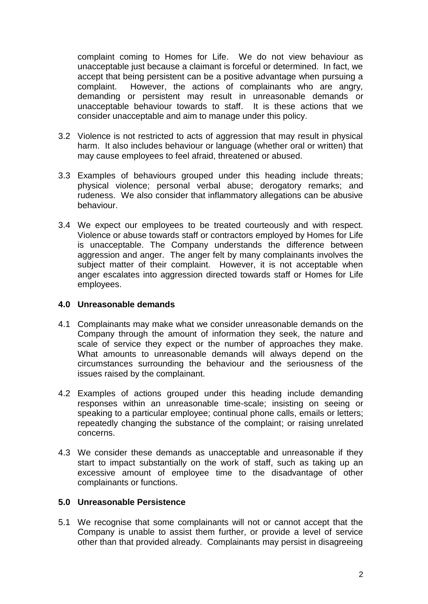complaint coming to Homes for Life. We do not view behaviour as unacceptable just because a claimant is forceful or determined. In fact, we accept that being persistent can be a positive advantage when pursuing a complaint. However, the actions of complainants who are angry, demanding or persistent may result in unreasonable demands or unacceptable behaviour towards to staff. It is these actions that we consider unacceptable and aim to manage under this policy.

- 3.2 Violence is not restricted to acts of aggression that may result in physical harm. It also includes behaviour or language (whether oral or written) that may cause employees to feel afraid, threatened or abused.
- 3.3 Examples of behaviours grouped under this heading include threats; physical violence; personal verbal abuse; derogatory remarks; and rudeness. We also consider that inflammatory allegations can be abusive behaviour.
- 3.4 We expect our employees to be treated courteously and with respect. Violence or abuse towards staff or contractors employed by Homes for Life is unacceptable. The Company understands the difference between aggression and anger. The anger felt by many complainants involves the subject matter of their complaint. However, it is not acceptable when anger escalates into aggression directed towards staff or Homes for Life employees.

### **4.0 Unreasonable demands**

- 4.1 Complainants may make what we consider unreasonable demands on the Company through the amount of information they seek, the nature and scale of service they expect or the number of approaches they make. What amounts to unreasonable demands will always depend on the circumstances surrounding the behaviour and the seriousness of the issues raised by the complainant.
- 4.2 Examples of actions grouped under this heading include demanding responses within an unreasonable time-scale; insisting on seeing or speaking to a particular employee; continual phone calls, emails or letters; repeatedly changing the substance of the complaint; or raising unrelated concerns.
- 4.3 We consider these demands as unacceptable and unreasonable if they start to impact substantially on the work of staff, such as taking up an excessive amount of employee time to the disadvantage of other complainants or functions.

### **5.0 Unreasonable Persistence**

5.1 We recognise that some complainants will not or cannot accept that the Company is unable to assist them further, or provide a level of service other than that provided already. Complainants may persist in disagreeing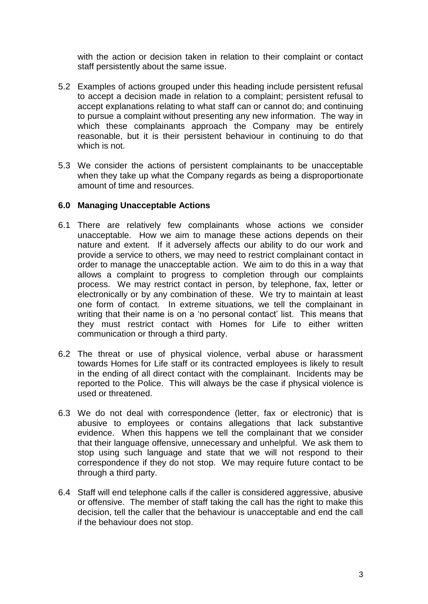with the action or decision taken in relation to their complaint or contact staff persistently about the same issue.

- 5.2 Examples of actions grouped under this heading include persistent refusal to accept a decision made in relation to a complaint; persistent refusal to accept explanations relating to what staff can or cannot do; and continuing to pursue a complaint without presenting any new information. The way in which these complainants approach the Company may be entirely reasonable, but it is their persistent behaviour in continuing to do that which is not.
- 5.3 We consider the actions of persistent complainants to be unacceptable when they take up what the Company regards as being a disproportionate amount of time and resources.

### **6.0 Managing Unacceptable Actions**

- 6.1 There are relatively few complainants whose actions we consider unacceptable. How we aim to manage these actions depends on their nature and extent. If it adversely affects our ability to do our work and provide a service to others, we may need to restrict complainant contact in order to manage the unacceptable action. We aim to do this in a way that allows a complaint to progress to completion through our complaints process. We may restrict contact in person, by telephone, fax, letter or electronically or by any combination of these. We try to maintain at least one form of contact. In extreme situations, we tell the complainant in writing that their name is on a 'no personal contact' list. This means that they must restrict contact with Homes for Life to either written communication or through a third party.
- 6.2 The threat or use of physical violence, verbal abuse or harassment towards Homes for Life staff or its contracted employees is likely to result in the ending of all direct contact with the complainant. Incidents may be reported to the Police. This will always be the case if physical violence is used or threatened.
- 6.3 We do not deal with correspondence (letter, fax or electronic) that is abusive to employees or contains allegations that lack substantive evidence. When this happens we tell the complainant that we consider that their language offensive, unnecessary and unhelpful. We ask them to stop using such language and state that we will not respond to their correspondence if they do not stop. We may require future contact to be through a third party.
- 6.4 Staff will end telephone calls if the caller is considered aggressive, abusive or offensive. The member of staff taking the call has the right to make this decision, tell the caller that the behaviour is unacceptable and end the call if the behaviour does not stop.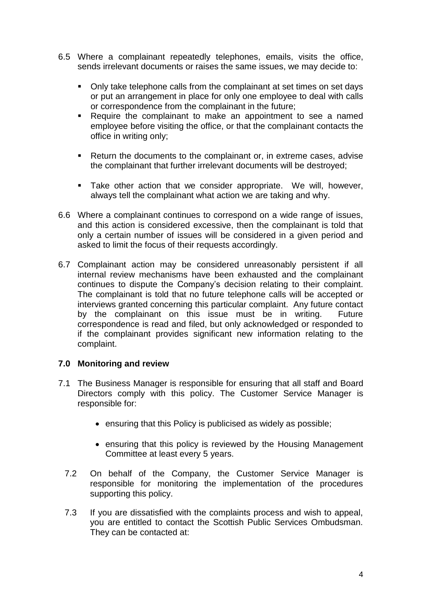- 6.5 Where a complainant repeatedly telephones, emails, visits the office, sends irrelevant documents or raises the same issues, we may decide to:
	- Only take telephone calls from the complainant at set times on set days or put an arrangement in place for only one employee to deal with calls or correspondence from the complainant in the future;
	- Require the complainant to make an appointment to see a named employee before visiting the office, or that the complainant contacts the office in writing only;
	- Return the documents to the complainant or, in extreme cases, advise the complainant that further irrelevant documents will be destroyed;
	- **EXECT** Take other action that we consider appropriate. We will, however, always tell the complainant what action we are taking and why.
- 6.6 Where a complainant continues to correspond on a wide range of issues, and this action is considered excessive, then the complainant is told that only a certain number of issues will be considered in a given period and asked to limit the focus of their requests accordingly.
- 6.7 Complainant action may be considered unreasonably persistent if all internal review mechanisms have been exhausted and the complainant continues to dispute the Company's decision relating to their complaint. The complainant is told that no future telephone calls will be accepted or interviews granted concerning this particular complaint. Any future contact by the complainant on this issue must be in writing. Future correspondence is read and filed, but only acknowledged or responded to if the complainant provides significant new information relating to the complaint.

### **7.0 Monitoring and review**

- 7.1 The Business Manager is responsible for ensuring that all staff and Board Directors comply with this policy. The Customer Service Manager is responsible for:
	- ensuring that this Policy is publicised as widely as possible;
	- ensuring that this policy is reviewed by the Housing Management Committee at least every 5 years.
	- 7.2 On behalf of the Company, the Customer Service Manager is responsible for monitoring the implementation of the procedures supporting this policy.
	- 7.3 If you are dissatisfied with the complaints process and wish to appeal, you are entitled to contact the Scottish Public Services Ombudsman. They can be contacted at: